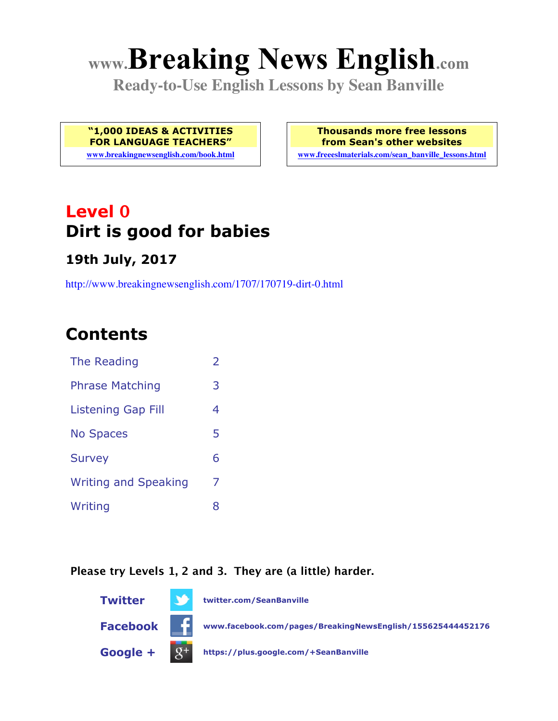# **www.Breaking News English.com**

**Ready-to-Use English Lessons by Sean Banville**

**"1,000 IDEAS & ACTIVITIES FOR LANGUAGE TEACHERS"**

**www.breakingnewsenglish.com/book.html**

**Thousands more free lessons from Sean's other websites**

**www.freeeslmaterials.com/sean\_banville\_lessons.html**

### **Level 0 Dirt is good for babies**

#### **19th July, 2017**

http://www.breakingnewsenglish.com/1707/170719-dirt-0.html

### **Contents**

| The Reading                 | 2 |
|-----------------------------|---|
| <b>Phrase Matching</b>      | 3 |
| <b>Listening Gap Fill</b>   | 4 |
| <b>No Spaces</b>            | 5 |
| <b>Survey</b>               | 6 |
| <b>Writing and Speaking</b> | 7 |
| Writing                     | 8 |

#### **Please try Levels 1, 2 and 3. They are (a little) harder.**

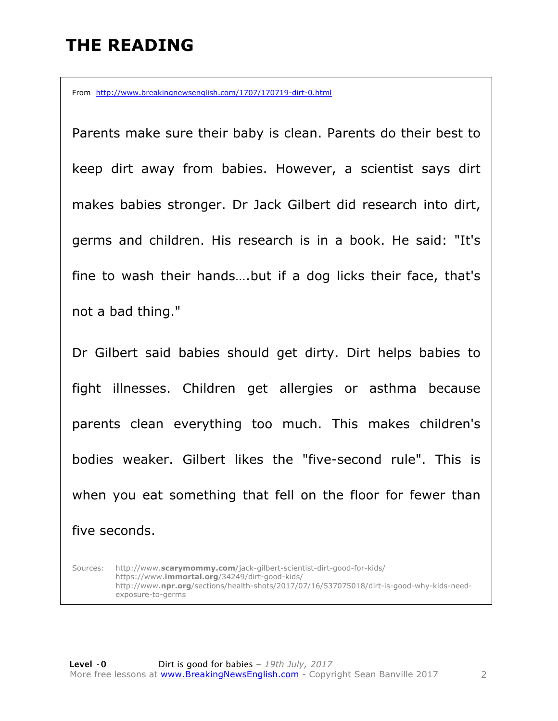### **THE READING**

From http://www.breakingnewsenglish.com/1707/170719-dirt-0.html

Parents make sure their baby is clean. Parents do their best to keep dirt away from babies. However, a scientist says dirt makes babies stronger. Dr Jack Gilbert did research into dirt, germs and children. His research is in a book. He said: "It's fine to wash their hands….but if a dog licks their face, that's not a bad thing."

Dr Gilbert said babies should get dirty. Dirt helps babies to fight illnesses. Children get allergies or asthma because parents clean everything too much. This makes children's bodies weaker. Gilbert likes the "five-second rule". This is when you eat something that fell on the floor for fewer than five seconds.

Sources: http://www.**scarymommy.com**/jack-gilbert-scientist-dirt-good-for-kids/ https://www.**immortal.org**/34249/dirt-good-kids/ http://www.**npr.org**/sections/health-shots/2017/07/16/537075018/dirt-is-good-why-kids-needexposure-to-germs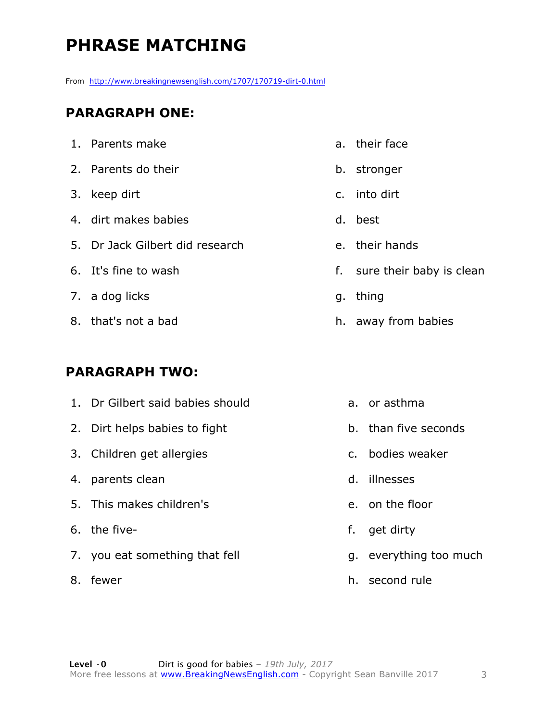### **PHRASE MATCHING**

From http://www.breakingnewsenglish.com/1707/170719-dirt-0.html

### **PARAGRAPH ONE:**

1. Parents make 2. Parents do their 3. keep dirt 4. dirt makes babies 5. Dr Jack Gilbert did research 6. It's fine to wash 7. a dog licks 8. that's not a bad

#### **PARAGRAPH TWO:**

- 1. Dr Gilbert said babies should
- 2. Dirt helps babies to fight
- 3. Children get allergies
- 4. parents clean
- 5. This makes children's
- 6. the five-
- 7. you eat something that fell
- 8. fewer
- a. their face
- b. stronger
- c. into dirt
- d. best
- e. their hands
- f. sure their baby is clean
- g. thing
- h. away from babies
	- a. or asthma
	- b. than five seconds
	- c. bodies weaker
	- d. illnesses
	- e. on the floor
	- f. get dirty
	- g. everything too much
	- h. second rule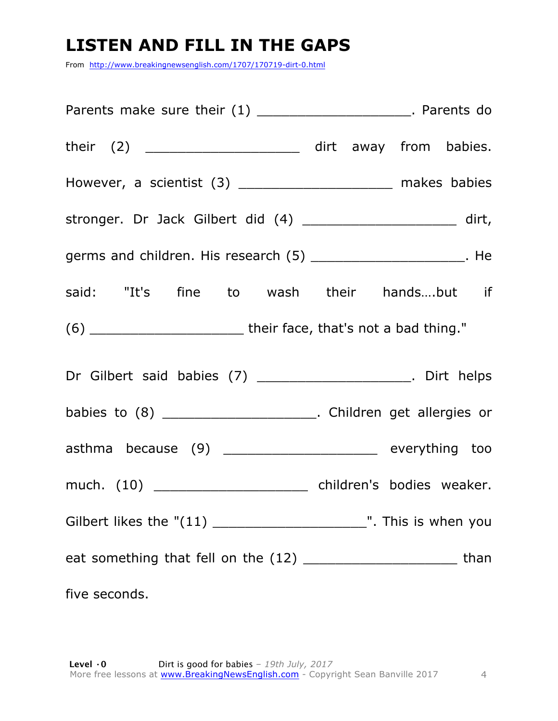### **LISTEN AND FILL IN THE GAPS**

From http://www.breakingnewsenglish.com/1707/170719-dirt-0.html

| Parents make sure their $(1)$ ________________________. Parents do                                              |
|-----------------------------------------------------------------------------------------------------------------|
| their (2) ________________________ dirt away from babies.                                                       |
| However, a scientist (3) ______________________ makes babies                                                    |
| stronger. Dr Jack Gilbert did (4) _______________________ dirt,                                                 |
| germs and children. His research (5) ________________________. He                                               |
| said: "It's fine to wash their handsbut if                                                                      |
|                                                                                                                 |
| Dr Gilbert said babies (7) _______________________. Dirt helps                                                  |
| babies to (8) ________________________. Children get allergies or                                               |
| asthma because (9) _____________________ everything too                                                         |
|                                                                                                                 |
|                                                                                                                 |
| eat something that fell on the (12) ________________________________ than                                       |
| five seconds. The second of the second state of the second state of the second state of the second state of the |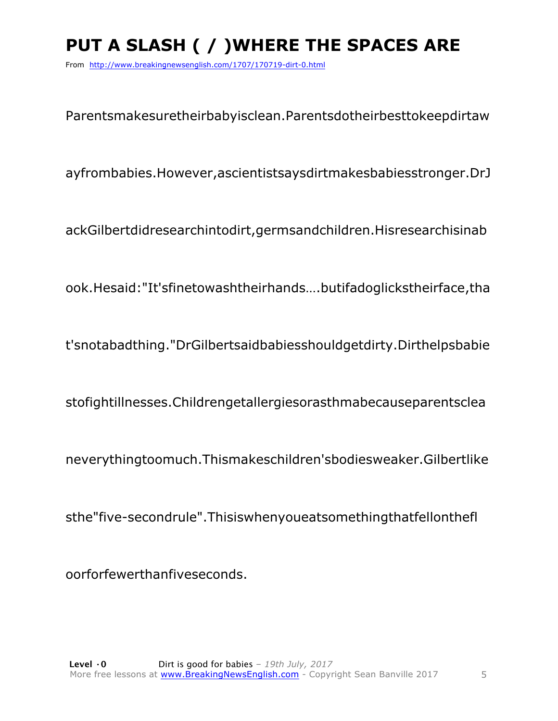## **PUT A SLASH ( / )WHERE THE SPACES ARE**

From http://www.breakingnewsenglish.com/1707/170719-dirt-0.html

Parentsmakesuretheirbabyisclean.Parentsdotheirbesttokeepdirtaw

ayfrombabies.However,ascientistsaysdirtmakesbabiesstronger.DrJ

ackGilbertdidresearchintodirt,germsandchildren.Hisresearchisinab

ook.Hesaid:"It'sfinetowashtheirhands….butifadoglickstheirface,tha

t'snotabadthing."DrGilbertsaidbabiesshouldgetdirty.Dirthelpsbabie

stofightillnesses.Childrengetallergiesorasthmabecauseparentsclea

neverythingtoomuch.Thismakeschildren'sbodiesweaker.Gilbertlike

sthe"five-secondrule".Thisiswhenyoueatsomethingthatfellonthefl

oorforfewerthanfiveseconds.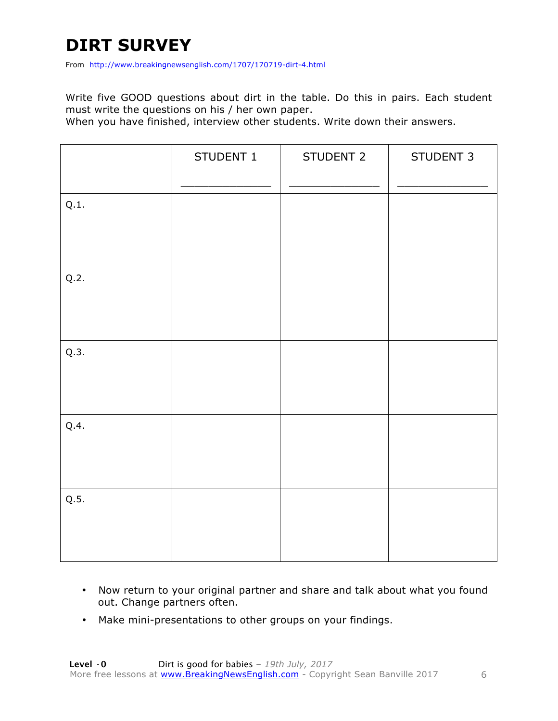### **DIRT SURVEY**

From http://www.breakingnewsenglish.com/1707/170719-dirt-4.html

Write five GOOD questions about dirt in the table. Do this in pairs. Each student must write the questions on his / her own paper.

When you have finished, interview other students. Write down their answers.

|      | STUDENT 1 | STUDENT 2 | STUDENT 3 |
|------|-----------|-----------|-----------|
| Q.1. |           |           |           |
| Q.2. |           |           |           |
| Q.3. |           |           |           |
| Q.4. |           |           |           |
| Q.5. |           |           |           |

- Now return to your original partner and share and talk about what you found out. Change partners often.
- Make mini-presentations to other groups on your findings.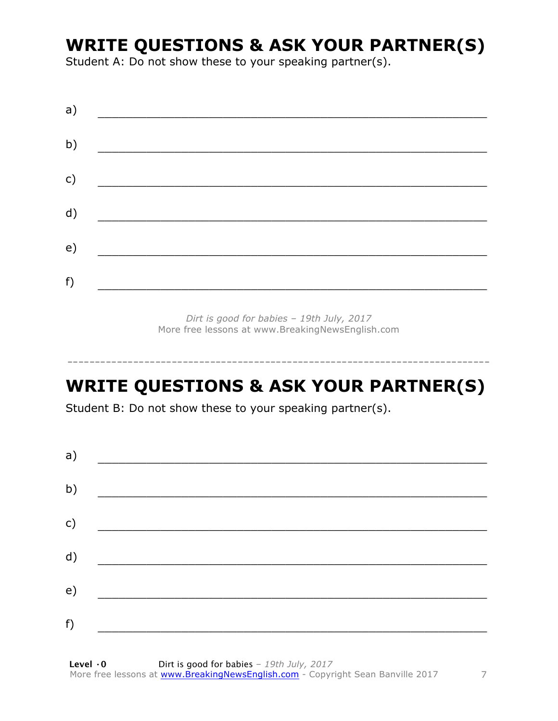### **WRITE QUESTIONS & ASK YOUR PARTNER(S)**

Student A: Do not show these to your speaking partner(s).

| a) |  |  |  |
|----|--|--|--|
| b) |  |  |  |
| c) |  |  |  |
| d) |  |  |  |
| e) |  |  |  |
| f) |  |  |  |
|    |  |  |  |

Dirt is good for babies - 19th July, 2017 More free lessons at www.BreakingNewsEnglish.com

### **WRITE QUESTIONS & ASK YOUR PARTNER(S)**

Student B: Do not show these to your speaking partner(s).

| a) |  |  |
|----|--|--|
| b) |  |  |
| c) |  |  |
| d) |  |  |
| e) |  |  |
| f) |  |  |
|    |  |  |